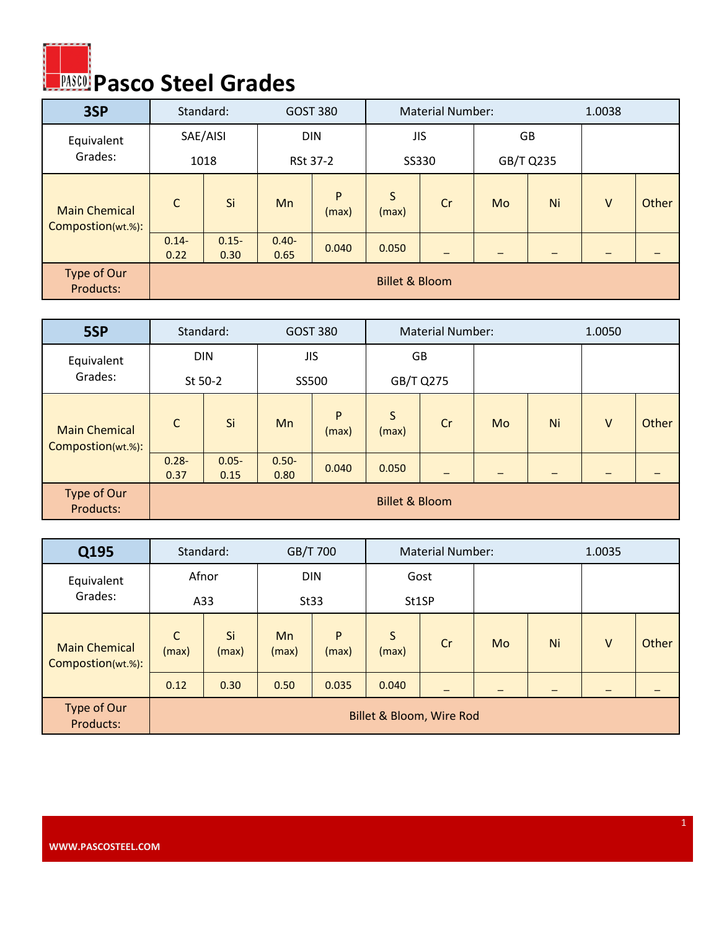## **PASCO** Steel Grades

| 3SP                                       |                  | Standard:        | <b>GOST 380</b>  |            |            | <b>Material Number:</b>   |           |    | 1.0038 |       |
|-------------------------------------------|------------------|------------------|------------------|------------|------------|---------------------------|-----------|----|--------|-------|
| Equivalent                                |                  | SAE/AISI         | <b>DIN</b>       |            | <b>JIS</b> |                           | GB        |    |        |       |
| Grades:                                   |                  | 1018             | <b>RSt 37-2</b>  |            | SS330      |                           | GB/T Q235 |    |        |       |
| <b>Main Chemical</b><br>Compostion(wt.%): | $\mathsf{C}$     | Si               | Mn               | P<br>(max) | S<br>(max) | Cr                        | Mo        | Ni | ٧      | Other |
|                                           | $0.14 -$<br>0.22 | $0.15 -$<br>0.30 | $0.40 -$<br>0.65 | 0.040      | 0.050      |                           |           |    |        |       |
| Type of Our<br>Products:                  |                  |                  |                  |            |            | <b>Billet &amp; Bloom</b> |           |    |        |       |

| 5SP                                       |                  | Standard:        |                  | <b>GOST 380</b> |                           | <b>Material Number:</b> |    |    | 1.0050 |       |
|-------------------------------------------|------------------|------------------|------------------|-----------------|---------------------------|-------------------------|----|----|--------|-------|
| Equivalent                                |                  | <b>DIN</b>       | <b>JIS</b>       |                 | GB                        |                         |    |    |        |       |
| Grades:                                   |                  | St 50-2          | SS500            |                 | GB/T Q275                 |                         |    |    |        |       |
| <b>Main Chemical</b><br>Compostion(wt.%): | $\mathsf{C}$     | Si               | Mn               | P<br>(max)      | S<br>(max)                | Cr                      | Mo | Ni | ٧      | Other |
|                                           | $0.28 -$<br>0.37 | $0.05 -$<br>0.15 | $0.50 -$<br>0.80 | 0.040           | 0.050                     |                         |    |    |        |       |
| Type of Our<br>Products:                  |                  |                  |                  |                 | <b>Billet &amp; Bloom</b> |                         |    |    |        |       |

| Q195                                      |            | Standard:   |             | GB/T 700           |            | <b>Material Number:</b>  |    | 1.0035 |        |       |  |
|-------------------------------------------|------------|-------------|-------------|--------------------|------------|--------------------------|----|--------|--------|-------|--|
| Equivalent<br>Grades:                     | A33        | Afnor       |             | <b>DIN</b><br>St33 |            | Gost<br>St1SP            |    |        |        |       |  |
| <b>Main Chemical</b><br>Compostion(wt.%): | C<br>(max) | Si<br>(max) | Mn<br>(max) | P<br>(max)         | S<br>(max) | Cr                       | Mo | Ni     | $\vee$ | Other |  |
|                                           | 0.12       | 0.30        | 0.50        | 0.035              | 0.040      |                          |    |        |        |       |  |
| Type of Our<br>Products:                  |            |             |             |                    |            | Billet & Bloom, Wire Rod |    |        |        |       |  |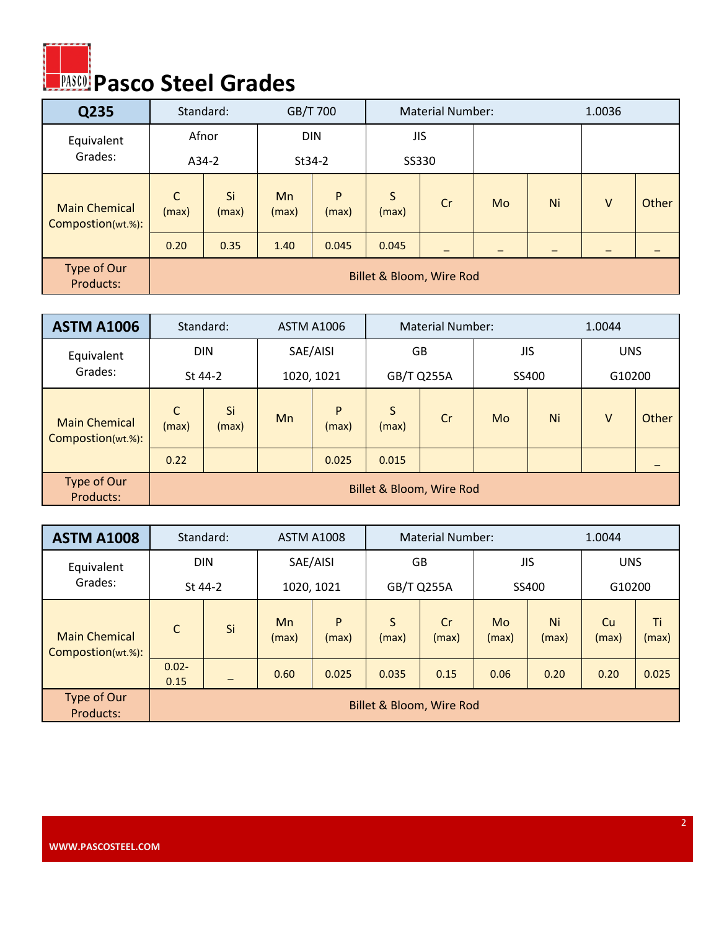## **PASCO** Steel Grades N

| Q235                                      |                       | Standard:   | GB/T 700    |            |            | <b>Material Number:</b>  |    |    | 1.0036 |       |
|-------------------------------------------|-----------------------|-------------|-------------|------------|------------|--------------------------|----|----|--------|-------|
| Equivalent                                |                       | Afnor       | <b>DIN</b>  |            | <b>JIS</b> |                          |    |    |        |       |
| Grades:                                   |                       | A34-2       |             | St34-2     |            | SS330                    |    |    |        |       |
| <b>Main Chemical</b><br>Compostion(wt.%): | $\mathsf{C}$<br>(max) | Si<br>(max) | Mn<br>(max) | P<br>(max) | S<br>(max) | Cr                       | Mo | Ni | ٧      | Other |
|                                           | 0.20                  | 0.35        | 1.40        | 0.045      | 0.045      |                          |    |    |        |       |
| Type of Our<br>Products:                  |                       |             |             |            |            | Billet & Bloom, Wire Rod |    |    |        |       |

| <b>ASTM A1006</b>                         |            | Standard:   |          | <b>ASTM A1006</b> |            | <b>Material Number:</b>  |            |    | 1.0044     |       |
|-------------------------------------------|------------|-------------|----------|-------------------|------------|--------------------------|------------|----|------------|-------|
| Equivalent                                |            | <b>DIN</b>  | SAE/AISI |                   | GB         |                          | <b>JIS</b> |    | <b>UNS</b> |       |
| Grades:                                   | St 44-2    |             |          | 1020, 1021        | GB/T Q255A |                          | SS400      |    | G10200     |       |
| <b>Main Chemical</b><br>Compostion(wt.%): | C<br>(max) | Si<br>(max) | Mn       | P<br>(max)        | S<br>(max) | Cr                       | <b>Mo</b>  | Ni | $\vee$     | Other |
|                                           | 0.22       |             |          | 0.025             | 0.015      |                          |            |    |            |       |
| Type of Our<br>Products:                  |            |             |          |                   |            | Billet & Bloom, Wire Rod |            |    |            |       |

| <b>ASTM A1008</b>                         |                    | Standard:  | <b>ASTM A1008</b> |            |            | <b>Material Number:</b>  |             |             | 1.0044      |             |  |
|-------------------------------------------|--------------------|------------|-------------------|------------|------------|--------------------------|-------------|-------------|-------------|-------------|--|
| Equivalent                                |                    | <b>DIN</b> |                   | SAE/AISI   |            | GB                       |             | <b>JIS</b>  | <b>UNS</b>  |             |  |
| Grades:                                   |                    | St 44-2    | 1020, 1021        |            | GB/T Q255A |                          | SS400       |             |             | G10200      |  |
| <b>Main Chemical</b><br>Compostion(wt.%): | Si<br>$\mathsf{C}$ |            | Mn<br>(max)       | P<br>(max) | S<br>(max) | Cr<br>(max)              | Mo<br>(max) | Ni<br>(max) | Cu<br>(max) | Ti<br>(max) |  |
|                                           | $0.02 -$<br>0.15   |            | 0.60              | 0.025      | 0.035      | 0.15                     | 0.06        | 0.20        | 0.20        | 0.025       |  |
| Type of Our<br>Products:                  |                    |            |                   |            |            | Billet & Bloom, Wire Rod |             |             |             |             |  |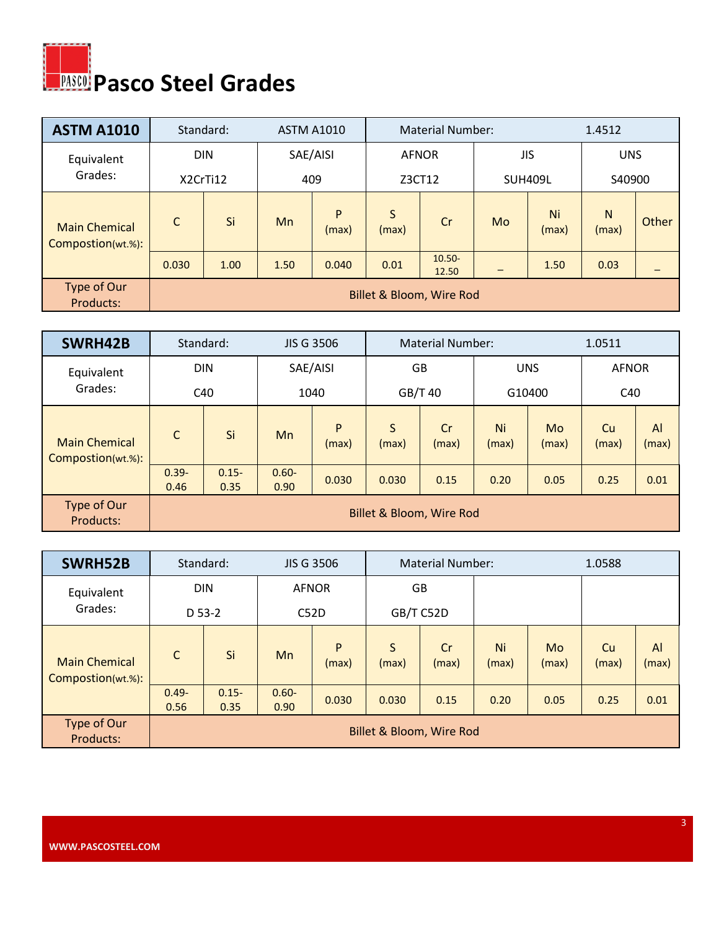

| <b>ASTM A1010</b>                         | Standard:    |      | <b>ASTM A1010</b> |            |            | <b>Material Number:</b>  |    |                | 1.4512     |       |
|-------------------------------------------|--------------|------|-------------------|------------|------------|--------------------------|----|----------------|------------|-------|
| Equivalent                                | <b>DIN</b>   |      |                   | SAE/AISI   |            | <b>AFNOR</b>             |    | <b>JIS</b>     | <b>UNS</b> |       |
| Grades:                                   | X2CrTi12     |      | 409               |            |            | Z3CT12                   |    | <b>SUH409L</b> | S40900     |       |
| <b>Main Chemical</b><br>Compostion(wt.%): | $\mathsf{C}$ | Si   | Mn                | P<br>(max) | S<br>(max) | Cr                       | Mo | Ni<br>(max)    | N<br>(max) | Other |
|                                           | 0.030        | 1.00 | 1.50              | 0.040      | 0.01       | $10.50 -$<br>12.50       |    | 1.50           | 0.03       |       |
| Type of Our<br>Products:                  |              |      |                   |            |            | Billet & Bloom, Wire Rod |    |                |            |       |

| SWRH42B                                   | Standard:        |                  |                  | <b>JIS G 3506</b> |            | Material Number:         |             | 1.0511                     |             |             |  |
|-------------------------------------------|------------------|------------------|------------------|-------------------|------------|--------------------------|-------------|----------------------------|-------------|-------------|--|
| Equivalent                                |                  | <b>DIN</b>       | SAE/AISI         |                   |            | GB                       |             | <b>UNS</b><br><b>AFNOR</b> |             |             |  |
| Grades:                                   |                  |                  | 1040             |                   | GB/T 40    |                          | G10400      |                            | C40         |             |  |
| <b>Main Chemical</b><br>Compostion(wt.%): | C40<br>Si<br>C   |                  | Mn               | P<br>(max)        | S<br>(max) | Cr<br>(max)              | Ni<br>(max) | Mo<br>(max)                | Cu<br>(max) | AI<br>(max) |  |
|                                           | $0.39 -$<br>0.46 | $0.15 -$<br>0.35 | $0.60 -$<br>0.90 | 0.030             | 0.030      | 0.15                     | 0.20        | 0.05                       | 0.25        | 0.01        |  |
| Type of Our<br>Products:                  |                  |                  |                  |                   |            | Billet & Bloom, Wire Rod |             |                            |             |             |  |

| SWRH52B                                   |                  | Standard:        |                  | JIS G 3506           |                          | <b>Material Number:</b> |             | 1.0588             |             |             |  |
|-------------------------------------------|------------------|------------------|------------------|----------------------|--------------------------|-------------------------|-------------|--------------------|-------------|-------------|--|
| Equivalent<br>Grades:                     |                  | <b>DIN</b>       |                  | <b>AFNOR</b><br>C52D |                          | GB<br>GB/T C52D         |             |                    |             |             |  |
| <b>Main Chemical</b><br>Compostion(wt.%): | C                | D 53-2<br>Si     | Mn               | P<br>(max)           | S<br>(max)               | Cr<br>(max)             | Ni<br>(max) | <b>Mo</b><br>(max) | Cu<br>(max) | AI<br>(max) |  |
|                                           | $0.49 -$<br>0.56 | $0.15 -$<br>0.35 | $0.60 -$<br>0.90 | 0.030                | 0.030                    | 0.15                    | 0.20        | 0.05               | 0.25        | 0.01        |  |
| Type of Our<br>Products:                  |                  |                  |                  |                      | Billet & Bloom, Wire Rod |                         |             |                    |             |             |  |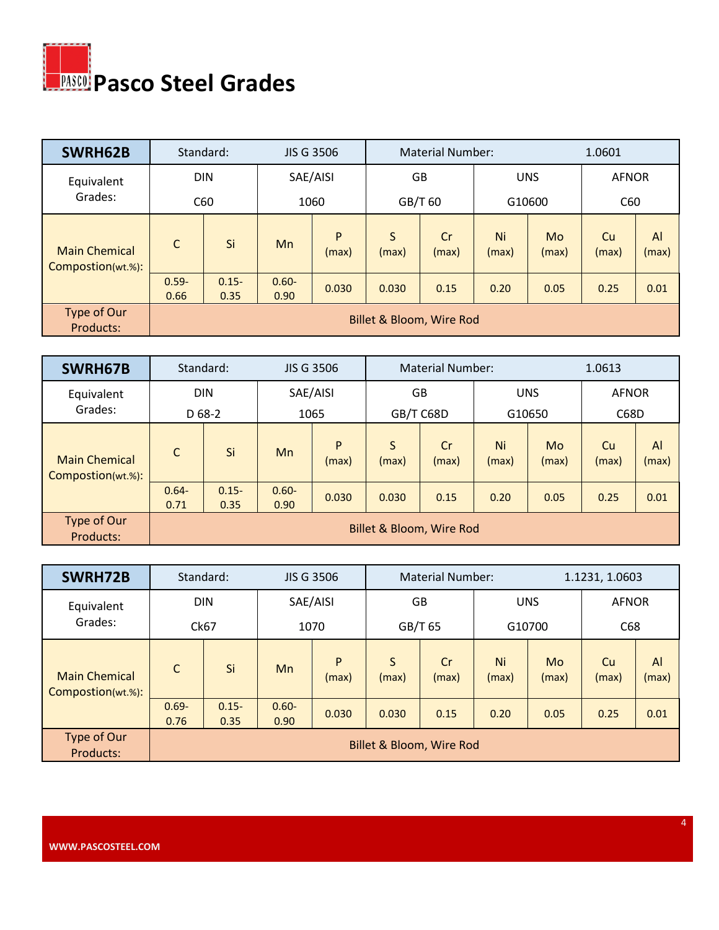

| SWRH62B                                   |                  | Standard:        | <b>JIS G 3506</b> |            | <b>Material Number:</b> |                          |             |                    | 1.0601             |             |
|-------------------------------------------|------------------|------------------|-------------------|------------|-------------------------|--------------------------|-------------|--------------------|--------------------|-------------|
| Equivalent                                |                  | <b>DIN</b>       |                   | SAE/AISI   | <b>GB</b>               |                          | <b>UNS</b>  |                    | <b>AFNOR</b>       |             |
| Grades:                                   | C60              |                  |                   | 1060       | GB/T 60                 |                          | G10600      | C60                |                    |             |
| <b>Main Chemical</b><br>Compostion(wt.%): | C                | Si               | Mn                | P<br>(max) | S<br>(max)              | Cr<br>(max)              | Ni<br>(max) | <b>Mo</b><br>(max) | <b>Cu</b><br>(max) | AI<br>(max) |
|                                           | $0.59 -$<br>0.66 | $0.15 -$<br>0.35 | $0.60 -$<br>0.90  | 0.030      | 0.030                   | 0.15                     | 0.20        | 0.05               | 0.25               | 0.01        |
| Type of Our<br>Products:                  |                  |                  |                   |            |                         | Billet & Bloom, Wire Rod |             |                    |                    |             |

| SWRH67B                                   |                   | Standard:<br><b>JIS G 3506</b> |                  |                  |            | Material Number:         | 1.0613      |                      |                      |             |
|-------------------------------------------|-------------------|--------------------------------|------------------|------------------|------------|--------------------------|-------------|----------------------|----------------------|-------------|
| Equivalent<br>Grades:                     |                   | <b>DIN</b>                     |                  | SAE/AISI<br>1065 |            | GB<br>GB/T C68D          |             | <b>UNS</b><br>G10650 | <b>AFNOR</b><br>C68D |             |
| <b>Main Chemical</b><br>Compostion(wt.%): | D 68-2<br>Si<br>C |                                | Mn               | P<br>(max)       | S<br>(max) | Cr<br>(max)              | Ni<br>(max) | <b>Mo</b><br>(max)   | Cu<br>(max)          | AI<br>(max) |
|                                           | $0.64 -$<br>0.71  | $0.15 -$<br>0.35               | $0.60 -$<br>0.90 | 0.030            | 0.030      | 0.15                     | 0.20        | 0.05                 | 0.25                 | 0.01        |
| Type of Our<br>Products:                  |                   |                                |                  |                  |            | Billet & Bloom, Wire Rod |             |                      |                      |             |

| SWRH72B                                   | Standard:        |                  |                  | <b>JIS G 3506</b> |             | <b>Material Number:</b>  |             |             | 1.1231, 1.0603 |             |  |
|-------------------------------------------|------------------|------------------|------------------|-------------------|-------------|--------------------------|-------------|-------------|----------------|-------------|--|
| Equivalent                                | <b>DIN</b>       |                  | SAE/AISI         |                   | GB          |                          | <b>UNS</b>  |             | <b>AFNOR</b>   |             |  |
| Grades:                                   | Ck67             |                  |                  | 1070              | GB/T 65     |                          | G10700      |             | C68            |             |  |
| <b>Main Chemical</b><br>Compostion(wt.%): | $\mathsf{C}$     | Si               | Mn               | P<br>(max)        | S.<br>(max) | Cr<br>(max)              | Ni<br>(max) | Mo<br>(max) | Cu<br>(max)    | AI<br>(max) |  |
|                                           | $0.69 -$<br>0.76 | $0.15 -$<br>0.35 | $0.60 -$<br>0.90 | 0.030             | 0.030       | 0.15                     | 0.20        | 0.05        | 0.25           | 0.01        |  |
| Type of Our<br>Products:                  |                  |                  |                  |                   |             | Billet & Bloom, Wire Rod |             |             |                |             |  |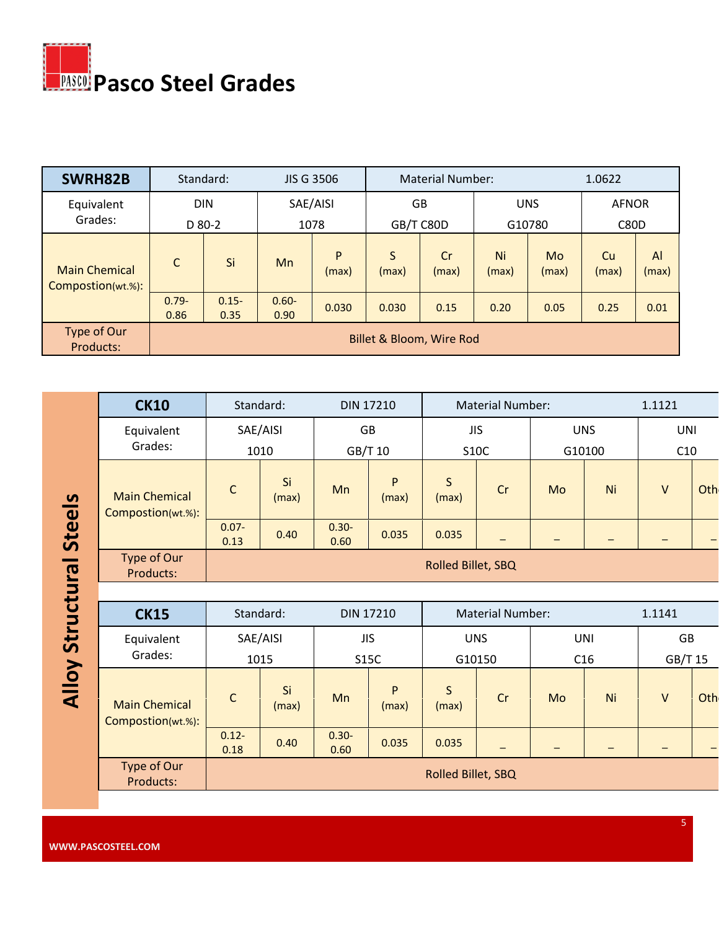

| SWRH82B                                   |                  | Standard:            |                  | <b>JIS G 3506</b> |                 | <b>Material Number:</b>  |             |                         | 1.0622                      |                       |
|-------------------------------------------|------------------|----------------------|------------------|-------------------|-----------------|--------------------------|-------------|-------------------------|-----------------------------|-----------------------|
| Equivalent<br>Grades:                     |                  | <b>DIN</b><br>D 80-2 |                  | SAE/AISI<br>1078  | GB<br>GB/T C80D |                          |             | <b>UNS</b><br>G10780    | <b>AFNOR</b><br><b>C80D</b> |                       |
| <b>Main Chemical</b><br>Compostion(wt.%): | C                | Si                   | Mn               | P<br>(max)        | S<br>(max)      | Cr<br>(max)              | Ni<br>(max) | M <sub>o</sub><br>(max) | Cu<br>(max)                 | $\mathsf{A}$<br>(max) |
|                                           | $0.79 -$<br>0.86 | $0.15 -$<br>0.35     | $0.60 -$<br>0.90 | 0.030             | 0.030           | 0.15                     | 0.20        | 0.05                    | 0.25                        | 0.01                  |
| Type of Our<br>Products:                  |                  |                      |                  |                   |                 | Billet & Bloom, Wire Rod |             |                         |                             |                       |

|                         | <b>CK10</b>                               | Standard:        |             |                  | <b>DIN 17210</b> |                       | <b>Material Number:</b> |    |            | 1.1121     |     |
|-------------------------|-------------------------------------------|------------------|-------------|------------------|------------------|-----------------------|-------------------------|----|------------|------------|-----|
|                         | Equivalent                                |                  | SAE/AISI    |                  | GB               |                       | <b>JIS</b>              |    | <b>UNS</b> | <b>UNI</b> |     |
|                         | Grades:                                   | 1010             |             |                  | GB/T 10          |                       | <b>S10C</b>             |    | G10100     | C10        |     |
|                         | <b>Main Chemical</b><br>Compostion(wt.%): | $\mathsf{C}$     | Si<br>(max) | Mn               | P<br>(max)       | $\mathsf{S}$<br>(max) | Cr                      | Mo | Ni         | $\vee$     | Oth |
| <b>Steels</b>           |                                           | $0.07 -$<br>0.13 | 0.40        | $0.30 -$<br>0.60 | 0.035            | 0.035                 |                         |    |            |            |     |
|                         | Type of Our<br>Products:                  |                  |             |                  |                  | Rolled Billet, SBQ    |                         |    |            |            |     |
|                         |                                           |                  |             |                  |                  |                       |                         |    |            |            |     |
|                         | <b>CK15</b>                               |                  | Standard:   |                  | <b>DIN 17210</b> |                       | <b>Material Number:</b> |    |            | 1.1141     |     |
|                         |                                           |                  |             |                  |                  |                       |                         |    |            |            |     |
|                         | Equivalent                                |                  | SAE/AISI    |                  | <b>JIS</b>       |                       | <b>UNS</b>              |    | <b>UNI</b> | GB         |     |
|                         | Grades:                                   | 1015             |             |                  | S15C             |                       | G10150                  |    | C16        | GB/T 15    |     |
| <b>Alloy Structural</b> | <b>Main Chemical</b><br>Compostion(wt.%): | $\mathsf{C}$     | Si<br>(max) | Mn               | P<br>(max)       | $\mathsf{S}$<br>(max) | Cr                      | Mo | Ni         | $\vee$     | Oth |
|                         |                                           | $0.12 -$<br>0.18 | 0.40        | $0.30 -$<br>0.60 | 0.035            | 0.035                 |                         |    |            |            |     |
|                         | Type of Our<br>Products:                  |                  |             |                  |                  | Rolled Billet, SBQ    |                         |    |            |            |     |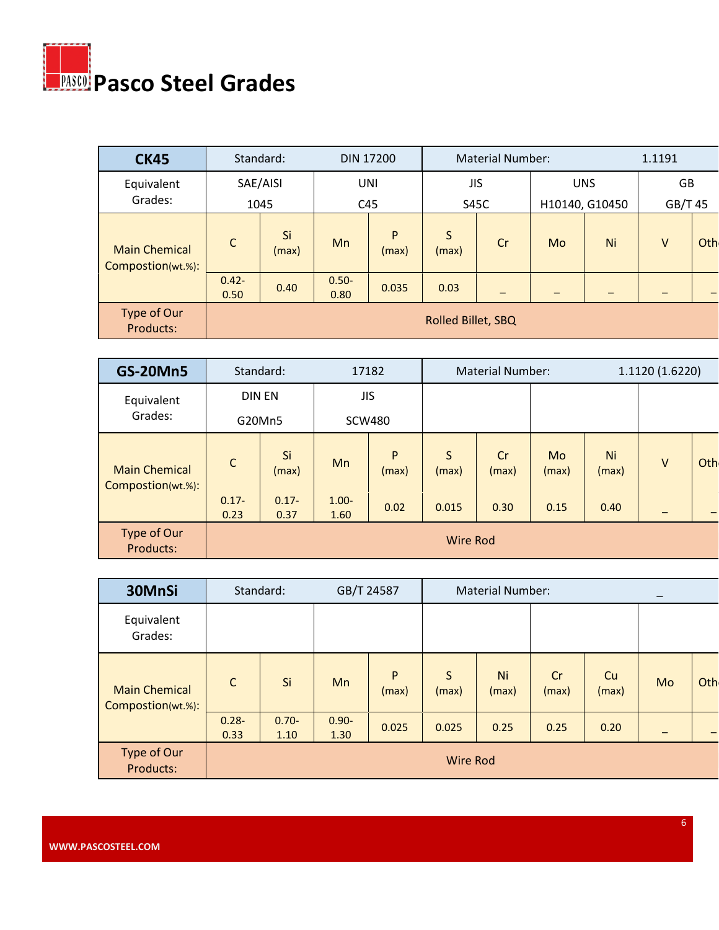

| <b>CK45</b>                               | Standard:        |                  |                  | <b>DIN 17200</b> | <b>Material Number:</b> |                    |                              | 1.1191 |               |     |  |
|-------------------------------------------|------------------|------------------|------------------|------------------|-------------------------|--------------------|------------------------------|--------|---------------|-----|--|
| Equivalent<br>Grades:                     |                  | SAE/AISI<br>1045 | UNI<br>C45       |                  |                         | <b>JIS</b><br>S45C | <b>UNS</b><br>H10140, G10450 |        | GB<br>GB/T 45 |     |  |
|                                           |                  |                  |                  |                  |                         |                    |                              |        |               |     |  |
| <b>Main Chemical</b><br>Compostion(wt.%): | $\mathsf{C}$     | Si<br>(max)      | Mn               | P<br>(max)       | S<br>(max)              | Cr                 | Mo                           | Ni     | $\vee$        | Oth |  |
|                                           | $0.42 -$<br>0.50 | 0.40             | $0.50 -$<br>0.80 | 0.035            | 0.03                    |                    |                              |        |               |     |  |
| Type of Our<br>Products:                  |                  |                  |                  |                  | Rolled Billet, SBQ      |                    |                              |        |               |     |  |

| <b>GS-20Mn5</b>                           | Standard:               |                  |                             | 17182      | <b>Material Number:</b> |                 |             | 1.1120 (1.6220) |        |     |
|-------------------------------------------|-------------------------|------------------|-----------------------------|------------|-------------------------|-----------------|-------------|-----------------|--------|-----|
| Equivalent<br>Grades:                     | <b>DIN EN</b><br>G20Mn5 |                  | <b>JIS</b><br><b>SCW480</b> |            |                         |                 |             |                 |        |     |
| <b>Main Chemical</b><br>Compostion(wt.%): | $\mathsf{C}$            | Si<br>(max)      | Mn                          | P<br>(max) | S<br>(max)              | Cr<br>(max)     | Mo<br>(max) | Ni<br>(max)     | $\vee$ | Oth |
|                                           | $0.17 -$<br>0.23        | $0.17 -$<br>0.37 | $1.00 -$<br>1.60            | 0.02       | 0.015                   | 0.30            | 0.15        | 0.40            |        |     |
| Type of Our<br>Products:                  |                         |                  |                             |            |                         | <b>Wire Rod</b> |             |                 |        |     |

| 30MnSi                                    | Standard:        |                  | GB/T 24587       |            |                 | <b>Material Number:</b> |             |             | $\overline{\phantom{m}}$ |     |
|-------------------------------------------|------------------|------------------|------------------|------------|-----------------|-------------------------|-------------|-------------|--------------------------|-----|
| Equivalent<br>Grades:                     |                  |                  |                  |            |                 |                         |             |             |                          |     |
| <b>Main Chemical</b><br>Compostion(wt.%): | $\mathsf{C}$     | Si               | Mn               | P<br>(max) | S<br>(max)      | Ni<br>(max)             | Cr<br>(max) | Cu<br>(max) | Mo                       | Oth |
|                                           | $0.28 -$<br>0.33 | $0.70 -$<br>1.10 | $0.90 -$<br>1.30 | 0.025      | 0.025           | 0.25                    | 0.25        | 0.20        |                          |     |
| Type of Our<br>Products:                  |                  |                  |                  |            | <b>Wire Rod</b> |                         |             |             |                          |     |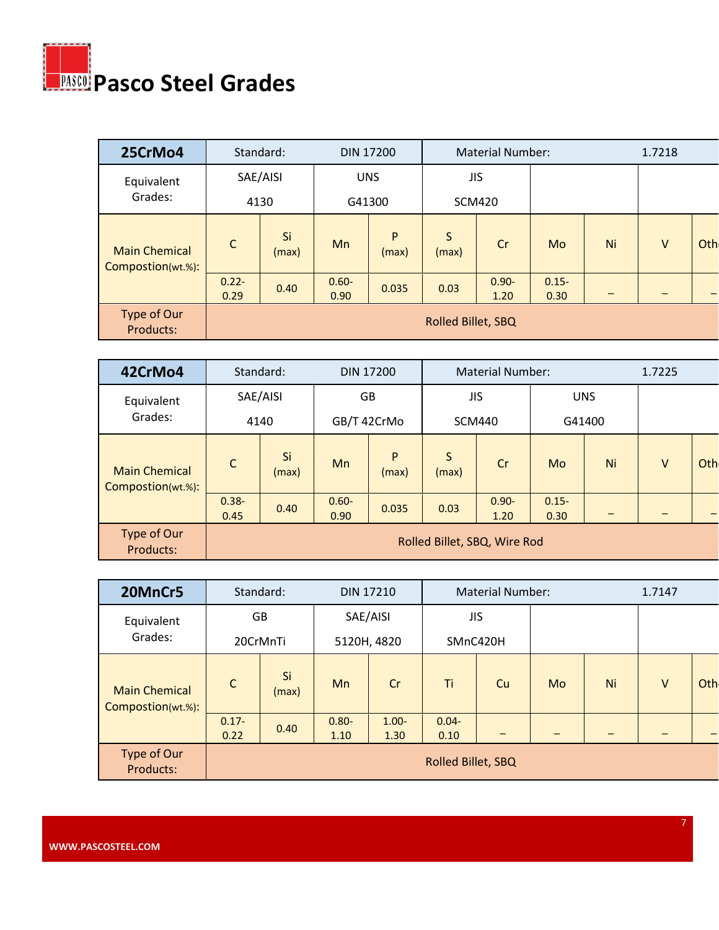

| 25CrMo4                                   | Standard:        |             |        | <b>DIN 17200</b> |                    | <b>Material Number:</b> |                  |    | 1.7218 |     |
|-------------------------------------------|------------------|-------------|--------|------------------|--------------------|-------------------------|------------------|----|--------|-----|
| Equivalent                                | SAE/AISI         |             |        | <b>UNS</b>       |                    | <b>JIS</b>              |                  |    |        |     |
| Grades:                                   | 4130             |             | G41300 |                  | <b>SCM420</b>      |                         |                  |    |        |     |
| <b>Main Chemical</b><br>Compostion(wt.%): | $\mathsf{C}$     | Si<br>(max) | Mn     | P<br>(max)       | S<br>(max)         | Cr                      | Mo               | Ni | $\vee$ | Oth |
|                                           | $0.22 -$<br>0.29 | 0.40        |        | 0.035            | 0.03               | $0.90 -$<br>1.20        | $0.15 -$<br>0.30 |    |        |     |
| Type of Our<br>Products:                  |                  |             |        |                  | Rolled Billet, SBQ |                         |                  |    |        |     |

| 42CrMo4                                   | Standard:        |             |    | <b>DIN 17200</b> |            | <b>Material Number:</b>      |                  |            | 1.7225 |     |
|-------------------------------------------|------------------|-------------|----|------------------|------------|------------------------------|------------------|------------|--------|-----|
| Equivalent                                | SAE/AISI         |             |    | GB               |            | <b>JIS</b>                   |                  | <b>UNS</b> |        |     |
| Grades:                                   | 4140             |             |    | GB/T 42CrMo      |            | <b>SCM440</b>                |                  | G41400     |        |     |
| <b>Main Chemical</b><br>Compostion(wt.%): | $\mathsf{C}$     | Si<br>(max) | Mn | P<br>(max)       | S<br>(max) | Cr                           | Mo               | Ni         | $\vee$ | Oth |
|                                           | $0.38 -$<br>0.45 | 0.40        |    | 0.035            | 0.03       | $0.90 -$<br>1.20             | $0.15 -$<br>0.30 |            |        |     |
| Type of Our<br>Products:                  |                  |             |    |                  |            | Rolled Billet, SBQ, Wire Rod |                  |            |        |     |

| 20MnCr5                                   | Standard:                |             |                         | <b>DIN 17210</b> |                        | <b>Material Number:</b> |    | 1.7147 |        |     |  |
|-------------------------------------------|--------------------------|-------------|-------------------------|------------------|------------------------|-------------------------|----|--------|--------|-----|--|
| Equivalent<br>Grades:                     | GB<br>20CrMnTi           |             | SAE/AISI<br>5120H, 4820 |                  | <b>JIS</b><br>SMnC420H |                         |    |        |        |     |  |
| <b>Main Chemical</b><br>Compostion(wt.%): | $\mathsf{C}$             | Si<br>(max) | Mn                      | Cr               | Ti                     | Cu                      | Mo | Ni     | $\vee$ | Oth |  |
|                                           | $0.17 -$<br>0.40<br>0.22 |             | $0.80 -$<br>1.10        | $1.00 -$<br>1.30 | $0.04 -$<br>0.10       |                         |    |        |        |     |  |
| Type of Our<br>Products:                  |                          |             |                         |                  | Rolled Billet, SBQ     |                         |    |        |        |     |  |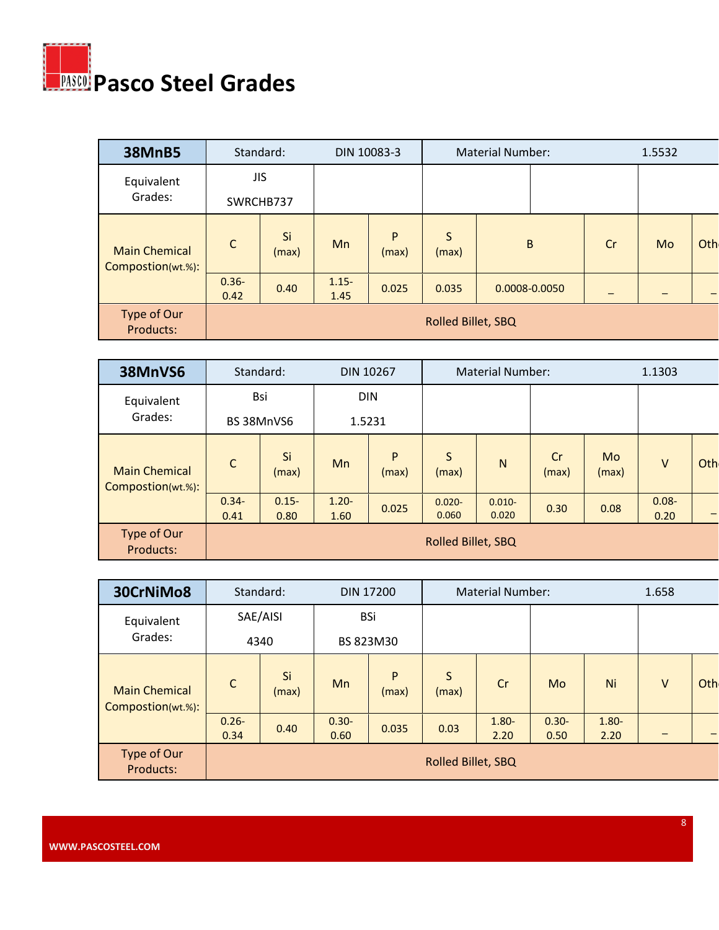

| <b>38MnB5</b>                             | Standard:               |             | DIN 10083-3      |            |                       | <b>Material Number:</b> |   |    | 1.5532 |     |
|-------------------------------------------|-------------------------|-------------|------------------|------------|-----------------------|-------------------------|---|----|--------|-----|
| Equivalent<br>Grades:                     | <b>JIS</b><br>SWRCHB737 |             |                  |            |                       |                         |   |    |        |     |
| <b>Main Chemical</b><br>Compostion(wt.%): | $\mathsf{C}$            | Si<br>(max) | Mn               | P<br>(max) | $\mathsf{S}$<br>(max) |                         | B | Cr | Mo     | Oth |
|                                           | $0.36 -$<br>0.42        | 0.40        | $1.15 -$<br>1.45 | 0.025      | 0.035                 | 0.0008-0.0050           |   |    |        |     |
| Type of Our<br>Products:                  |                         |             |                  |            | Rolled Billet, SBQ    |                         |   |    |        |     |

| 38MnVS6                                   | Standard:                   |                   |                  | <b>DIN 10267</b>     |                    | <b>Material Number:</b> |             |             | 1.1303           |                          |
|-------------------------------------------|-----------------------------|-------------------|------------------|----------------------|--------------------|-------------------------|-------------|-------------|------------------|--------------------------|
| Equivalent<br>Grades:                     |                             | Bsi<br>BS 38MnVS6 |                  | <b>DIN</b><br>1.5231 |                    |                         |             |             |                  |                          |
| <b>Main Chemical</b><br>Compostion(wt.%): | Si<br>$\mathsf{C}$<br>(max) |                   | Mn               | P<br>(max)           | S<br>(max)         | N                       | Cr<br>(max) | Mo<br>(max) | $\vee$           | Oth                      |
|                                           | $0.34 -$<br>0.41            | $0.15 -$<br>0.80  | $1.20 -$<br>1.60 | 0.025                | $0.020 -$<br>0.060 | $0.010 -$<br>0.020      | 0.30        | 0.08        | $0.08 -$<br>0.20 | $\overline{\phantom{0}}$ |
| Type of Our<br>Products:                  |                             |                   |                  |                      |                    | Rolled Billet, SBQ      |             |             |                  |                          |

| 30CrNiMo8                                 | Standard:                  |          |    | <b>DIN 17200</b> |                    | <b>Material Number:</b> |                  |                  | 1.658  |     |
|-------------------------------------------|----------------------------|----------|----|------------------|--------------------|-------------------------|------------------|------------------|--------|-----|
| Equivalent                                |                            | SAE/AISI |    | <b>BSi</b>       |                    |                         |                  |                  |        |     |
| Grades:                                   |                            | 4340     |    | BS 823M30        |                    |                         |                  |                  |        |     |
| <b>Main Chemical</b><br>Compostion(wt.%): | Si<br>$\mathsf C$<br>(max) |          | Mn | P<br>(max)       | S<br>(max)         | Cr                      | Mo               | Ni               | $\vee$ | Oth |
|                                           | $0.26 -$<br>0.34           | 0.40     |    | 0.035            | 0.03               | $1.80 -$<br>2.20        | $0.30 -$<br>0.50 | $1.80 -$<br>2.20 |        |     |
| Type of Our<br>Products:                  |                            |          |    |                  | Rolled Billet, SBQ |                         |                  |                  |        |     |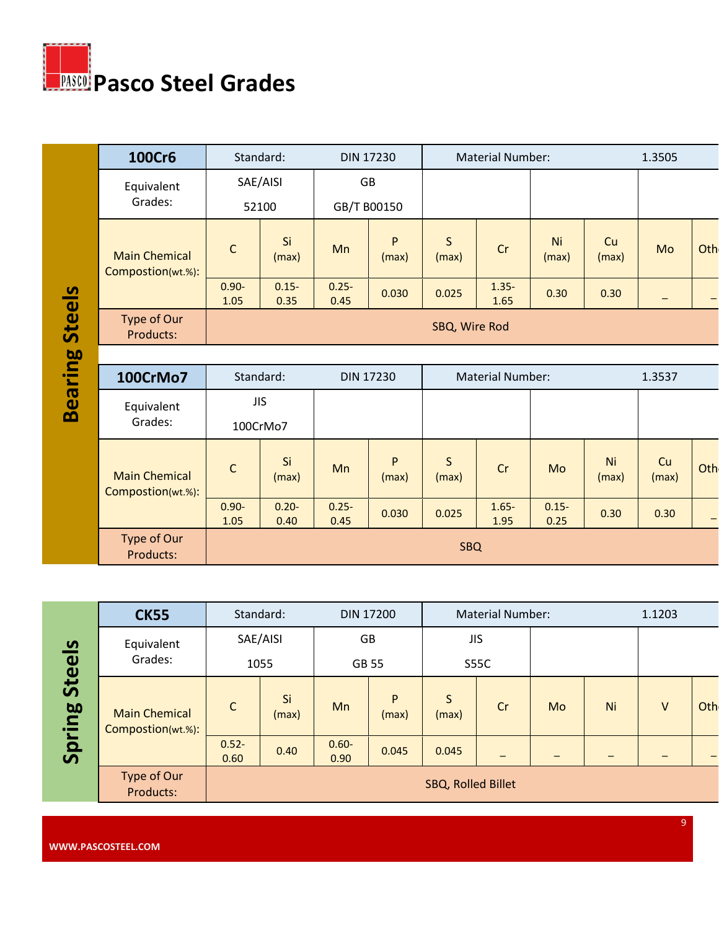

|                       | 100Cr6                                    | Standard:        |                  |                  | <b>DIN 17230</b> |                       | <b>Material Number:</b> |                   |                   | 1.3505                   |     |
|-----------------------|-------------------------------------------|------------------|------------------|------------------|------------------|-----------------------|-------------------------|-------------------|-------------------|--------------------------|-----|
|                       | Equivalent                                | SAE/AISI         |                  |                  | GB               |                       |                         |                   |                   |                          |     |
|                       | Grades:                                   | 52100            |                  |                  | GB/T B00150      |                       |                         |                   |                   |                          |     |
|                       | <b>Main Chemical</b><br>Compostion(wt.%): | $\mathsf C$      | Si<br>(max)      | Mn               | P<br>(max)       | $\mathsf{S}$<br>(max) | Cr                      | Ni<br>(max)       | Cu<br>(max)       | Mo                       | Oth |
|                       |                                           | $0.90 -$<br>1.05 | $0.15 -$<br>0.35 | $0.25 -$<br>0.45 | 0.030            | 0.025                 | $1.35 -$<br>1.65        | 0.30              | 0.30              | $\overline{\phantom{m}}$ | -   |
| <b>Bearing Steels</b> | Type of Our<br>Products:                  |                  |                  |                  |                  | SBQ, Wire Rod         |                         |                   |                   |                          |     |
|                       | 100CrMo7                                  | Standard:        |                  |                  | <b>DIN 17230</b> |                       | <b>Material Number:</b> |                   |                   | 1.3537                   |     |
|                       |                                           | <b>JIS</b>       |                  |                  |                  |                       |                         |                   |                   |                          |     |
|                       | Equivalent<br>Grades:                     | 100CrMo7         |                  |                  |                  |                       |                         |                   |                   |                          |     |
|                       | <b>Main Chemical</b><br>Compostion(wt.%): | $\mathsf{C}$     | Si<br>(max)      | Mn               | P<br>(max)       | S<br>(max)            | Cr                      | Mo                | Ni<br>(max)       | Cu<br>(max)              | Oth |
|                       |                                           | $0.90 -$<br>1.05 | $0.20 -$<br>0.40 | $0.25 -$<br>0.45 | 0.030            | 0.025                 | $1.65 -$<br>1.95        | $0.15 -$<br>0.25  | 0.30              | 0.30                     | -   |
|                       | Type of Our<br>Products:                  |                  |                  |                  |                  | <b>SBQ</b>            |                         |                   |                   |                          |     |
|                       |                                           |                  |                  |                  |                  |                       |                         |                   |                   |                          |     |
|                       | <b>CK55</b>                               | Standard:        |                  |                  | <b>DIN 17200</b> |                       | <b>Material Number:</b> |                   |                   | 1.1203                   |     |
|                       | Equivalent                                | SAE/AISI         |                  |                  | GB               |                       | <b>JIS</b>              |                   |                   |                          |     |
| $\boldsymbol{\omega}$ | Grades:                                   | 1055             |                  |                  | GB 55            |                       | S55C                    |                   |                   |                          |     |
| Spring Ste            | <b>Main Chemical</b><br>Compostion(wt.%): | $\mathsf C$      | Si<br>(max)      | Mn               | P<br>(max)       | S<br>(max)            | Cr                      | Mo                | Ni                | $\mathsf{V}$             | Oth |
|                       |                                           | $0.52 -$<br>0.60 | 0.40             | $0.60 -$<br>0.90 | 0.045            | 0.045                 | -                       | $\qquad \qquad -$ | $\qquad \qquad -$ | $\overline{\phantom{m}}$ | -   |
|                       | Type of Our<br>Products:                  |                  |                  |                  |                  | SBQ, Rolled Billet    |                         |                   |                   |                          |     |
|                       |                                           |                  |                  |                  |                  |                       |                         |                   |                   | 9 <sup>°</sup>           |     |
|                       | WWW.PASCOSTEEL.COM                        |                  |                  |                  |                  |                       |                         |                   |                   |                          |     |

|               | <b>CK55</b>                               | Standard:        |             |                  | <b>DIN 17200</b> |                    | <b>Material Number:</b> |    |    | 1.1203 |     |
|---------------|-------------------------------------------|------------------|-------------|------------------|------------------|--------------------|-------------------------|----|----|--------|-----|
|               | Equivalent                                | SAE/AISI         |             |                  | GB               |                    | <b>JIS</b>              |    |    |        |     |
| <b>Steels</b> | Grades:                                   | 1055             |             |                  | GB 55            |                    | <b>S55C</b>             |    |    |        |     |
| Spring        | <b>Main Chemical</b><br>Compostion(wt.%): | $\mathsf{C}$     | Si<br>(max) | Mn               | P<br>(max)       | S<br>(max)         | Cr                      | Mo | Ni | V      | Oth |
|               |                                           | $0.52 -$<br>0.60 | 0.40        | $0.60 -$<br>0.90 | 0.045            | 0.045              |                         |    |    |        |     |
|               | Type of Our<br>Products:                  |                  |             |                  |                  | SBQ, Rolled Billet |                         |    |    |        |     |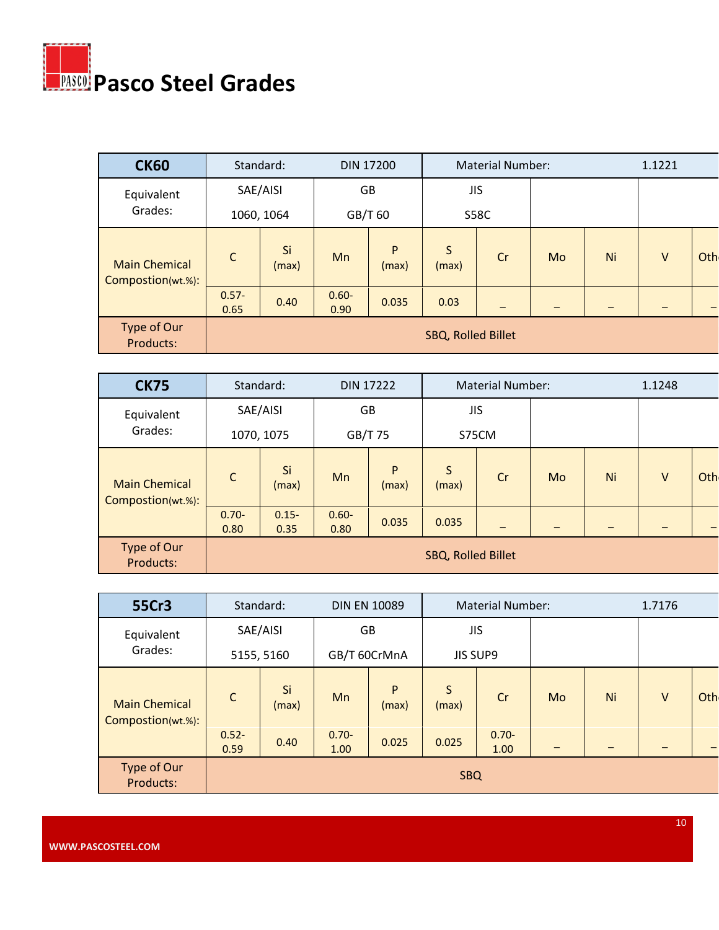

| <b>CK60</b>                               |                  | Standard:<br><b>DIN 17200</b> |                  |            |                    | <b>Material Number:</b> |    |    | 1.1221 |     |
|-------------------------------------------|------------------|-------------------------------|------------------|------------|--------------------|-------------------------|----|----|--------|-----|
| Equivalent                                |                  | SAE/AISI                      |                  | GB         |                    | <b>JIS</b>              |    |    |        |     |
| Grades:                                   |                  | 1060, 1064                    |                  | GB/T 60    |                    | <b>S58C</b>             |    |    |        |     |
| <b>Main Chemical</b><br>Compostion(wt.%): | $\mathsf{C}$     | Si<br>(max)                   | Mn               | P<br>(max) | S<br>(max)         | Cr                      | Mo | Ni | $\vee$ | Oth |
|                                           | $0.57 -$<br>0.65 | 0.40                          | $0.60 -$<br>0.90 | 0.035      | 0.03               |                         |    |    |        |     |
| Type of Our<br>Products:                  |                  |                               |                  |            | SBQ, Rolled Billet |                         |    |    |        |     |

| <b>CK75</b>                               |                  | Standard:<br><b>DIN 17222</b><br>SAE/AISI |                  |            |                     | <b>Material Number:</b> |    |    | 1.1248 |     |
|-------------------------------------------|------------------|-------------------------------------------|------------------|------------|---------------------|-------------------------|----|----|--------|-----|
| Equivalent<br>Grades:                     |                  | 1070, 1075                                | GB<br>GB/T 75    |            | <b>JIS</b><br>S75CM |                         |    |    |        |     |
| <b>Main Chemical</b><br>Compostion(wt.%): | $\mathsf{C}$     | Si<br>(max)                               | Mn               | P<br>(max) | S<br>(max)          | Cr                      | Mo | Ni | $\vee$ | Oth |
|                                           | $0.70 -$<br>0.80 | $0.15 -$<br>0.35                          | $0.60 -$<br>0.80 | 0.035      | 0.035               |                         |    |    |        |     |
| Type of Our<br>Products:                  |                  |                                           |                  |            | SBQ, Rolled Billet  |                         |    |    |        |     |

| 55Cr3                                     | Standard:        |                        |                  | <b>DIN EN 10089</b> |                       | <b>Material Number:</b> |    |    | 1.7176 |     |
|-------------------------------------------|------------------|------------------------|------------------|---------------------|-----------------------|-------------------------|----|----|--------|-----|
| Equivalent<br>Grades:                     |                  | SAE/AISI<br>5155, 5160 |                  | GB<br>GB/T 60CrMnA  |                       | <b>JIS</b><br>JIS SUP9  |    |    |        |     |
| <b>Main Chemical</b><br>Compostion(wt.%): | $\mathsf{C}$     | Si<br>(max)            | Mn               | P<br>(max)          | $\mathsf{S}$<br>(max) | Cr                      | Mo | Ni | $\vee$ | Oth |
|                                           | $0.52 -$<br>0.59 | 0.40                   | $0.70 -$<br>1.00 | 0.025               | 0.025                 | $0.70 -$<br>1.00        |    |    |        |     |
| Type of Our<br>Products:                  |                  |                        |                  |                     | <b>SBQ</b>            |                         |    |    |        |     |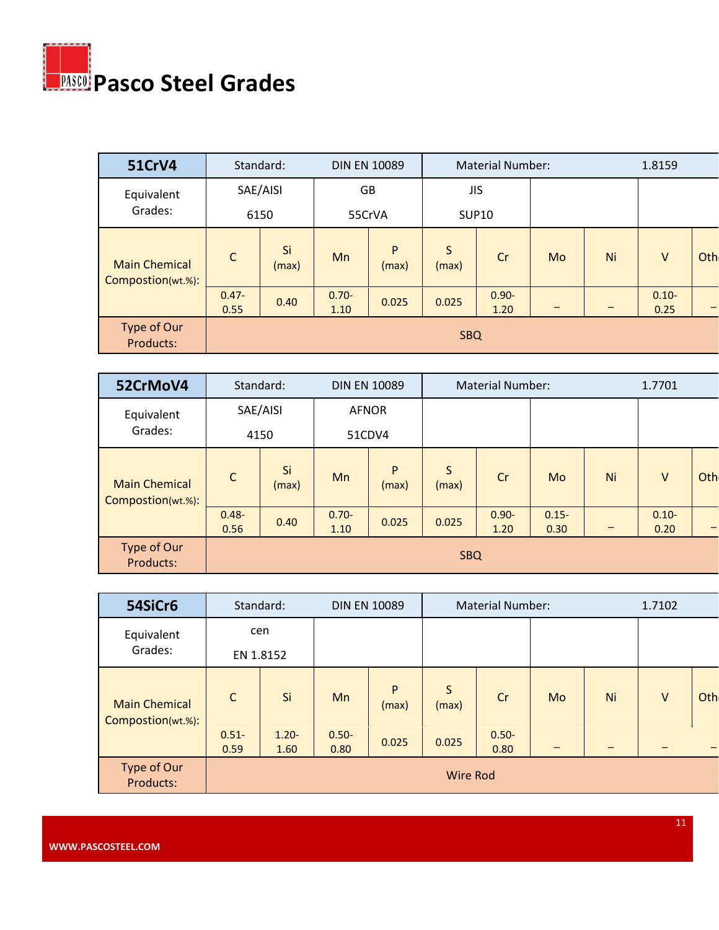

| <b>51CrV4</b>                             | Standard:        |                  |                  | <b>DIN EN 10089</b> |            | <b>Material Number:</b>    |    | 1.8159 |                  |     |  |  |
|-------------------------------------------|------------------|------------------|------------------|---------------------|------------|----------------------------|----|--------|------------------|-----|--|--|
| Equivalent<br>Grades:                     |                  | SAE/AISI<br>6150 |                  | GB<br>55CrVA        |            | <b>JIS</b><br><b>SUP10</b> |    |        |                  |     |  |  |
| <b>Main Chemical</b><br>Compostion(wt.%): | $\mathsf{C}$     | Si<br>(max)      | Mn               | P<br>(max)          | S<br>(max) | Cr                         | Mo | Ni     | $\vee$           | Oth |  |  |
|                                           | $0.47 -$<br>0.55 | 0.40             | $0.70 -$<br>1.10 | 0.025               | 0.025      | $0.90 -$<br>1.20           |    |        | $0.10 -$<br>0.25 | $-$ |  |  |
| Type of Our<br>Products:                  |                  |                  |                  |                     | <b>SBQ</b> |                            |    |        |                  |     |  |  |

| 52CrMoV4                                  |                  | Standard:<br><b>DIN EN 10089</b> |                  |            | <b>Material Number:</b> |                  | 1.7701           |    |                  |                          |
|-------------------------------------------|------------------|----------------------------------|------------------|------------|-------------------------|------------------|------------------|----|------------------|--------------------------|
| Equivalent<br>Grades:                     | SAE/AISI         | <b>AFNOR</b><br>4150<br>51CDV4   |                  |            |                         |                  |                  |    |                  |                          |
|                                           |                  |                                  |                  |            |                         |                  |                  |    |                  |                          |
| <b>Main Chemical</b><br>Compostion(wt.%): | $\mathsf{C}$     | Si<br>(max)                      | Mn               | P<br>(max) | S<br>(max)              | Cr               | Mo               | Ni | $\vee$           | Oth                      |
|                                           | $0.48 -$<br>0.56 | 0.40                             | $0.70 -$<br>1.10 | 0.025      | 0.025                   | $0.90 -$<br>1.20 | $0.15 -$<br>0.30 |    | $0.10 -$<br>0.20 | $\overline{\phantom{0}}$ |
| Type of Our<br>Products:                  |                  |                                  |                  |            | <b>SBQ</b>              |                  |                  |    |                  |                          |

| 54SiCr6                                   | Standard:        |                  | <b>DIN EN 10089</b> |            |                 | <b>Material Number:</b> |    |    | 1.7102 |     |
|-------------------------------------------|------------------|------------------|---------------------|------------|-----------------|-------------------------|----|----|--------|-----|
| Equivalent<br>Grades:                     | cen              | EN 1.8152        |                     |            |                 |                         |    |    |        |     |
| <b>Main Chemical</b><br>Compostion(wt.%): | $\mathsf{C}$     | Si               | Mn                  | P<br>(max) | S<br>(max)      | Cr                      | Mo | Ni | $\vee$ | Oth |
|                                           | $0.51 -$<br>0.59 | $1.20 -$<br>1.60 | $0.50 -$<br>0.80    | 0.025      | 0.025           | $0.50 -$<br>0.80        | -  |    |        |     |
| Type of Our<br>Products:                  |                  |                  |                     |            | <b>Wire Rod</b> |                         |    |    |        |     |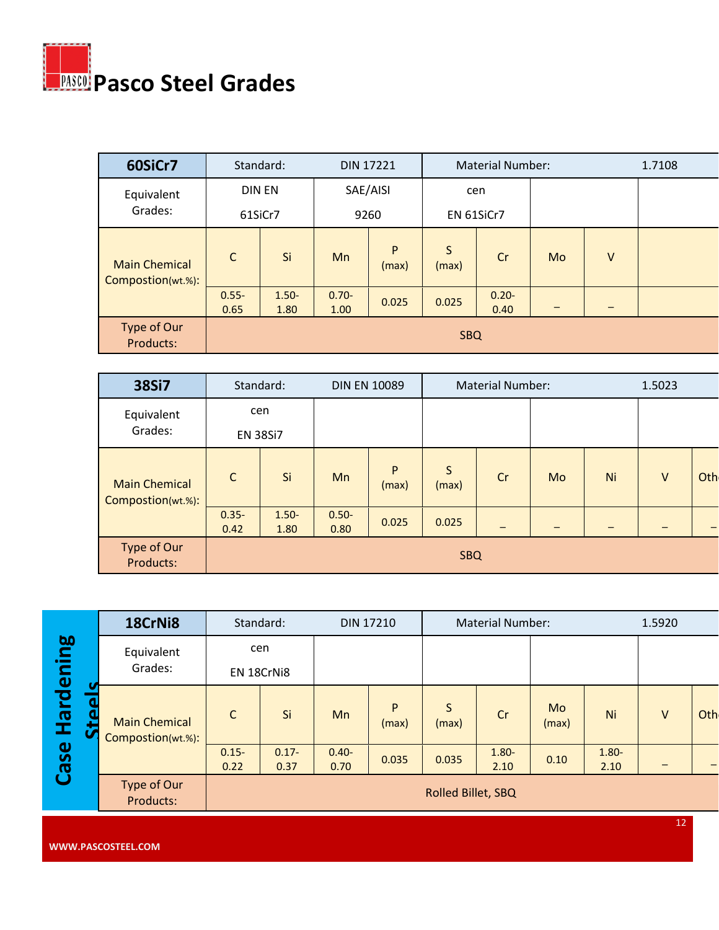

| 60SiCr7                                   |                  | Standard:        |                  | <b>DIN 17221</b> |            | <b>Material Number:</b> |    |        | 1.7108 |
|-------------------------------------------|------------------|------------------|------------------|------------------|------------|-------------------------|----|--------|--------|
| Equivalent                                |                  | <b>DIN EN</b>    |                  | SAE/AISI         |            | cen                     |    |        |        |
| Grades:                                   |                  | 61SiCr7          |                  | 9260             |            | EN 61SiCr7              |    |        |        |
| <b>Main Chemical</b><br>Compostion(wt.%): | $\mathsf{C}$     | Si               | Mn               | P<br>(max)       | S<br>(max) | Cr                      | Mo | $\vee$ |        |
|                                           | $0.55 -$<br>0.65 | $1.50 -$<br>1.80 | $0.70 -$<br>1.00 | 0.025            | 0.025      | $0.20 -$<br>0.40        |    |        |        |
| Type of Our<br>Products:                  |                  |                  |                  |                  | <b>SBQ</b> |                         |    |        |        |

| 38Si7                                     |                        | Standard:<br><b>DIN EN 10089</b> |                  |            |            | <b>Material Number:</b> |    | 1.5023 |   |     |
|-------------------------------------------|------------------------|----------------------------------|------------------|------------|------------|-------------------------|----|--------|---|-----|
| Equivalent<br>Grades:                     | cen<br><b>EN 38Si7</b> |                                  |                  |            |            |                         |    |        |   |     |
| <b>Main Chemical</b><br>Compostion(wt.%): | $\mathsf{C}$           | Si                               | Mn               | P<br>(max) | S<br>(max) | Cr                      | Mo | Ni     | V | Oth |
|                                           | $0.35 -$<br>0.42       | $1.50 -$<br>1.80                 | $0.50 -$<br>0.80 | 0.025      | 0.025      |                         |    |        |   |     |
| Type of Our<br>Products:                  |                        |                                  |                  |            | <b>SBQ</b> |                         |    |        |   |     |

|           | 18CrNi8                                   |                  | Standard:         |                  | <b>DIN 17210</b> |                    | <b>Material Number:</b> |                    |                  | 1.5920 |     |
|-----------|-------------------------------------------|------------------|-------------------|------------------|------------------|--------------------|-------------------------|--------------------|------------------|--------|-----|
|           | Equivalent<br>Grades:                     |                  | cen<br>EN 18CrNi8 |                  |                  |                    |                         |                    |                  |        |     |
| Hardening | <b>Main Chemical</b><br>Compostion(wt.%): | $\mathsf{C}$     | Si                | <b>Mn</b>        | P<br>(max)       | S<br>(max)         | Cr                      | <b>Mo</b><br>(max) | Ni               | V      | Oth |
| Case      |                                           | $0.15 -$<br>0.22 | $0.17 -$<br>0.37  | $0.40 -$<br>0.70 | 0.035            | 0.035              | $1.80 -$<br>2.10        | 0.10               | $1.80 -$<br>2.10 |        |     |
|           | Type of Our<br>Products:                  |                  |                   |                  |                  | Rolled Billet, SBQ |                         |                    |                  |        |     |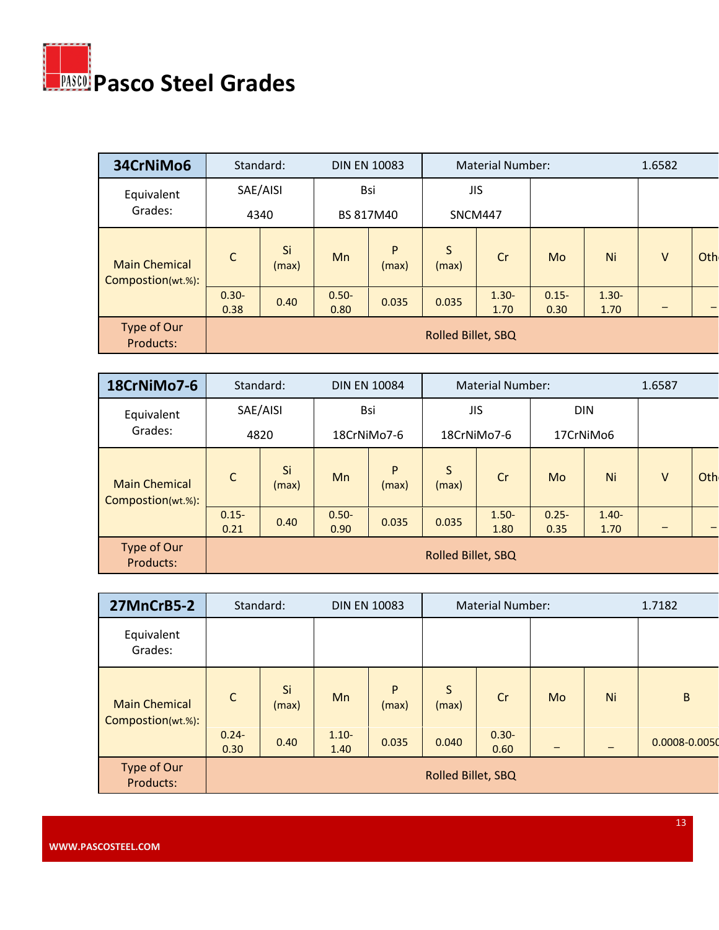

| 34CrNiMo6                                 |                  | Standard:<br><b>DIN EN 10083</b> |                  |            |                       | <b>Material Number:</b> |                  | 1.6582           |        |     |  |
|-------------------------------------------|------------------|----------------------------------|------------------|------------|-----------------------|-------------------------|------------------|------------------|--------|-----|--|
| Equivalent                                |                  | SAE/AISI<br>Bsi                  |                  |            | <b>JIS</b>            |                         |                  |                  |        |     |  |
| Grades:                                   | 4340             | BS 817M40                        |                  |            | SNCM447               |                         |                  |                  |        |     |  |
| <b>Main Chemical</b><br>Compostion(wt.%): | $\mathsf{C}$     | Si<br>(max)                      | Mn               | P<br>(max) | $\mathsf{S}$<br>(max) | Cr                      | Mo               | Ni               | $\vee$ | Oth |  |
|                                           | $0.30 -$<br>0.38 | 0.40                             | $0.50 -$<br>0.80 | 0.035      | 0.035                 | $1.30 -$<br>1.70        | $0.15 -$<br>0.30 | $1.30 -$<br>1.70 |        |     |  |
| Type of Our<br>Products:                  |                  |                                  |                  |            | Rolled Billet, SBQ    |                         |                  |                  |        |     |  |

| 18CrNiMo7-6                               | Standard:<br><b>DIN EN 10084</b><br>SAE/AISI<br>Bsi |             |                  |             |                    | <b>Material Number:</b>   |                  |                         | 1.6587 |     |
|-------------------------------------------|-----------------------------------------------------|-------------|------------------|-------------|--------------------|---------------------------|------------------|-------------------------|--------|-----|
| Equivalent<br>Grades:                     | 4820                                                |             |                  | 18CrNiMo7-6 |                    | <b>JIS</b><br>18CrNiMo7-6 |                  | <b>DIN</b><br>17CrNiMo6 |        |     |
|                                           |                                                     |             |                  |             |                    |                           |                  |                         |        |     |
| <b>Main Chemical</b><br>Compostion(wt.%): | $\mathsf{C}$                                        | Si<br>(max) | Mn               | P<br>(max)  | S<br>(max)         | Cr                        | Mo               | Ni                      | $\vee$ | Oth |
|                                           | $0.15 -$<br>0.21                                    | 0.40        | $0.50 -$<br>0.90 | 0.035       | 0.035              | $1.50 -$<br>1.80          | $0.25 -$<br>0.35 | $1.40 -$<br>1.70        |        |     |
| Type of Our<br>Products:                  |                                                     |             |                  |             | Rolled Billet, SBQ |                           |                  |                         |        |     |

| 27MnCrB5-2                                |                  | Standard:   |                  | <b>DIN EN 10083</b> |                    | <b>Material Number:</b> |    | 1.7182 |                   |  |
|-------------------------------------------|------------------|-------------|------------------|---------------------|--------------------|-------------------------|----|--------|-------------------|--|
| Equivalent<br>Grades:                     |                  |             |                  |                     |                    |                         |    |        |                   |  |
| <b>Main Chemical</b><br>Compostion(wt.%): | $\mathsf{C}$     | Si<br>(max) | Mn               | P<br>(max)          | S<br>(max)         | Cr                      | Mo | Ni     | $\sf B$           |  |
|                                           | $0.24 -$<br>0.30 | 0.40        | $1.10 -$<br>1.40 | 0.035               | 0.040              | $0.30 -$<br>0.60        |    |        | $0.0008 - 0.0050$ |  |
| Type of Our<br>Products:                  |                  |             |                  |                     | Rolled Billet, SBQ |                         |    |        |                   |  |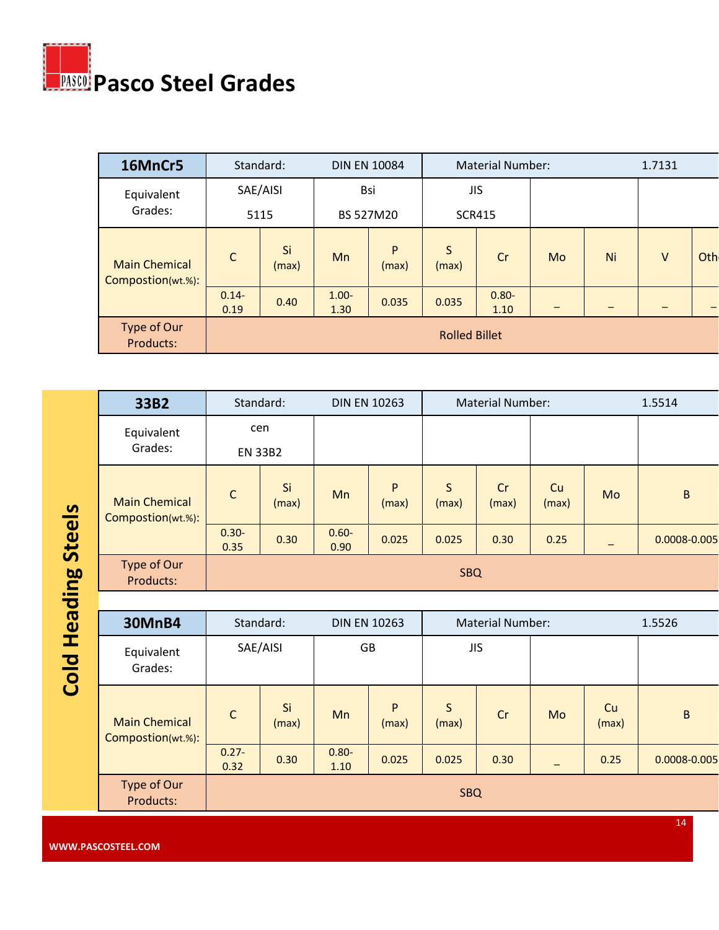

| 16MnCr5                                   | Standard:                |             | <b>DIN EN 10084</b> |            | <b>Material Number:</b> |                  |    | 1.7131 |        |     |  |
|-------------------------------------------|--------------------------|-------------|---------------------|------------|-------------------------|------------------|----|--------|--------|-----|--|
| Equivalent                                |                          | SAE/AISI    |                     | Bsi        |                         | <b>JIS</b>       |    |        |        |     |  |
| Grades:                                   | 5115                     |             | <b>BS 527M20</b>    |            | <b>SCR415</b>           |                  |    |        |        |     |  |
| <b>Main Chemical</b><br>Compostion(wt.%): | $\mathsf{C}$             | Si<br>(max) | Mn                  | P<br>(max) | S<br>(max)              | Cr               | Mo | Ni     | $\vee$ | Oth |  |
|                                           | $0.14 -$<br>0.40<br>0.19 |             | $1.00 -$<br>1.30    | 0.035      | 0.035                   | $0.80 -$<br>1.10 |    |        |        |     |  |
| Type of Our<br>Products:                  |                          |             |                     |            | <b>Rolled Billet</b>    |                  |    |        |        |     |  |

|                            | 33B2                                      | Standard:                        |                | <b>DIN EN 10263</b> |            |                       | <b>Material Number:</b> |                          |                   | 1.5514       |
|----------------------------|-------------------------------------------|----------------------------------|----------------|---------------------|------------|-----------------------|-------------------------|--------------------------|-------------------|--------------|
|                            | Equivalent<br>Grades:                     | cen                              | <b>EN 33B2</b> |                     |            |                       |                         |                          |                   |              |
|                            | <b>Main Chemical</b><br>Compostion(wt.%): | $\mathsf{C}$                     | Si<br>(max)    | Mn                  | P<br>(max) | $\mathsf{S}$<br>(max) | Cr<br>(max)             | Cu<br>(max)              | Mo                | $\sf B$      |
|                            |                                           | $0.30 -$<br>0.35                 | 0.30           | $0.60 -$<br>0.90    | 0.025      | 0.025                 | 0.30                    | 0.25                     | $\qquad \qquad -$ | 0.0008-0.005 |
|                            | Type of Our<br>Products:                  |                                  |                |                     |            | <b>SBQ</b>            |                         |                          |                   |              |
|                            |                                           |                                  |                |                     |            |                       |                         |                          |                   |              |
|                            | <b>30MnB4</b>                             | Standard:<br><b>DIN EN 10263</b> |                |                     |            |                       | <b>Material Number:</b> |                          |                   | 1.5526       |
| <b>Cold Heading Steels</b> | Equivalent<br>Grades:                     | SAE/AISI                         |                |                     | <b>GB</b>  |                       | <b>JIS</b>              |                          |                   |              |
|                            | <b>Main Chemical</b><br>Compostion(wt.%): | $\mathsf C$                      | Si<br>(max)    | Mn                  | P<br>(max) | $\mathsf{S}$<br>(max) | Cr                      | Mo                       | Cu<br>(max)       | B            |
|                            |                                           | $0.27 -$<br>0.32                 | 0.30           | $0.80 -$<br>1.10    | 0.025      | 0.025                 | 0.30                    | $\overline{\phantom{0}}$ | 0.25              | 0.0008-0.005 |
|                            | Type of Our<br>Products:                  |                                  |                |                     |            | <b>SBQ</b>            |                         |                          |                   |              |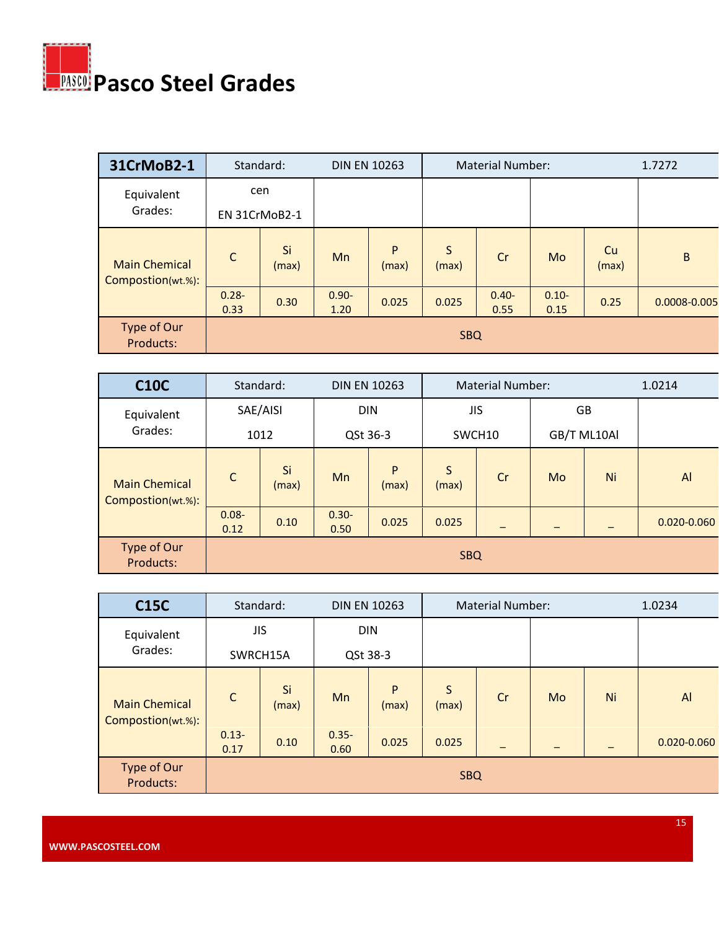

| 31CrMoB2-1                                |                  | Standard:            |                  | <b>DIN EN 10263</b> |            | <b>Material Number:</b> |                  |             | 1.7272       |
|-------------------------------------------|------------------|----------------------|------------------|---------------------|------------|-------------------------|------------------|-------------|--------------|
| Equivalent<br>Grades:                     |                  | cen<br>EN 31CrMoB2-1 |                  |                     |            |                         |                  |             |              |
| <b>Main Chemical</b><br>Compostion(wt.%): | $\mathsf{C}$     | Si<br>(max)          | <b>Mn</b>        | P<br>(max)          | S<br>(max) | Cr                      | Mo               | Cu<br>(max) | B            |
|                                           | $0.28 -$<br>0.33 | 0.30                 | $0.90 -$<br>1.20 | 0.025               | 0.025      | $0.40 -$<br>0.55        | $0.10 -$<br>0.15 | 0.25        | 0.0008-0.005 |
| Type of Our<br>Products:                  |                  |                      |                  |                     | <b>SBQ</b> |                         |                  |             |              |

| <b>C10C</b>                               |                  | Standard:   | <b>DIN EN 10263</b> |            |            | <b>Material Number:</b> |    | 1.0214      |                 |
|-------------------------------------------|------------------|-------------|---------------------|------------|------------|-------------------------|----|-------------|-----------------|
| Equivalent                                |                  | SAE/AISI    |                     | <b>DIN</b> | <b>JIS</b> |                         | GB |             |                 |
| Grades:                                   |                  | 1012        |                     | QSt 36-3   |            | SWCH10                  |    | GB/T ML10Al |                 |
| <b>Main Chemical</b><br>Compostion(wt.%): | $\mathsf{C}$     | Si<br>(max) | Mn                  | P<br>(max) | S<br>(max) | Cr                      | Mo | Ni          | AI              |
|                                           | $0.08 -$<br>0.12 | 0.10        | $0.30 -$<br>0.50    | 0.025      | 0.025      |                         |    |             | $0.020 - 0.060$ |
| Type of Our<br>Products:                  |                  |             | <b>SBQ</b>          |            |            |                         |    |             |                 |

| <b>C15C</b>                               |                  | Standard:              | <b>DIN EN 10263</b> |                        |            | <b>Material Number:</b> | 1.0234 |    |             |
|-------------------------------------------|------------------|------------------------|---------------------|------------------------|------------|-------------------------|--------|----|-------------|
| Equivalent<br>Grades:                     |                  | <b>JIS</b><br>SWRCH15A |                     | <b>DIN</b><br>QSt 38-3 |            |                         |        |    |             |
| <b>Main Chemical</b><br>Compostion(wt.%): | $\mathsf{C}$     | Si<br>(max)            | Mn                  | P<br>(max)             | S<br>(max) | Cr                      | Mo     | Ni | AI          |
|                                           | $0.13 -$<br>0.17 | 0.10                   | $0.35 -$<br>0.60    | 0.025                  | 0.025      |                         |        |    | 0.020-0.060 |
| Type of Our<br>Products:                  |                  |                        |                     |                        | <b>SBQ</b> |                         |        |    |             |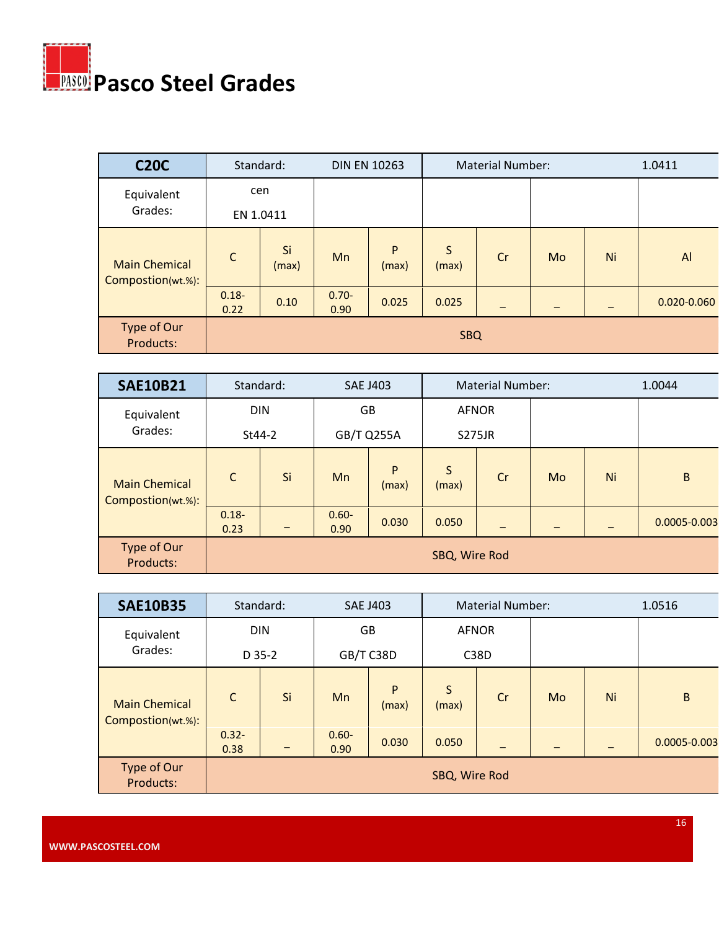

| <b>C20C</b>                               |                  | Standard:        |                  | <b>DIN EN 10263</b> |            | <b>Material Number:</b> |    | 1.0411 |             |  |
|-------------------------------------------|------------------|------------------|------------------|---------------------|------------|-------------------------|----|--------|-------------|--|
| Equivalent<br>Grades:                     |                  | cen<br>EN 1.0411 |                  |                     |            |                         |    |        |             |  |
| <b>Main Chemical</b><br>Compostion(wt.%): | $\mathsf{C}$     | Si<br>(max)      | Mn               | P<br>(max)          | S<br>(max) | Cr                      | Mo | Ni     | AI          |  |
|                                           | $0.18 -$<br>0.22 | 0.10             | $0.70 -$<br>0.90 | 0.025               | 0.025      |                         |    |        | 0.020-0.060 |  |
| Type of Our<br>Products:                  |                  |                  |                  |                     | <b>SBQ</b> |                         |    |        |             |  |

| <b>SAE10B21</b>                           |                  | Standard:  |                  | <b>SAE J403</b> |                       | <b>Material Number:</b> |           |    | 1.0044       |
|-------------------------------------------|------------------|------------|------------------|-----------------|-----------------------|-------------------------|-----------|----|--------------|
| Equivalent                                |                  | <b>DIN</b> |                  | GB              | <b>AFNOR</b>          |                         |           |    |              |
| Grades:                                   |                  | St44-2     |                  | GB/T Q255A      |                       | <b>S275JR</b>           |           |    |              |
| <b>Main Chemical</b><br>Compostion(wt.%): | $\mathsf{C}$     | Si         | Mn               | P<br>(max)      | $\mathsf{S}$<br>(max) | Cr                      | <b>Mo</b> | Ni | B            |
|                                           | $0.18 -$<br>0.23 |            | $0.60 -$<br>0.90 | 0.030           | 0.050                 |                         |           |    | 0.0005-0.003 |
| Type of Our<br>Products:                  |                  |            |                  |                 | SBQ, Wire Rod         |                         |           |    |              |

| <b>SAE10B35</b>                           |                  | Standard:            |                  | <b>SAE J403</b> |                      | <b>Material Number:</b> |    |    | 1.0516           |
|-------------------------------------------|------------------|----------------------|------------------|-----------------|----------------------|-------------------------|----|----|------------------|
| Equivalent<br>Grades:                     |                  | <b>DIN</b><br>D 35-2 | GB<br>GB/T C38D  |                 | <b>AFNOR</b><br>C38D |                         |    |    |                  |
| <b>Main Chemical</b><br>Compostion(wt.%): | $\mathsf{C}$     | Si                   | Mn               | P<br>(max)      | S<br>(max)           | Cr                      | Mo | Ni | B                |
|                                           | $0.32 -$<br>0.38 |                      | $0.60 -$<br>0.90 | 0.030           | 0.050                |                         |    |    | $0.0005 - 0.003$ |
| Type of Our<br>Products:                  |                  |                      |                  |                 | SBQ, Wire Rod        |                         |    |    |                  |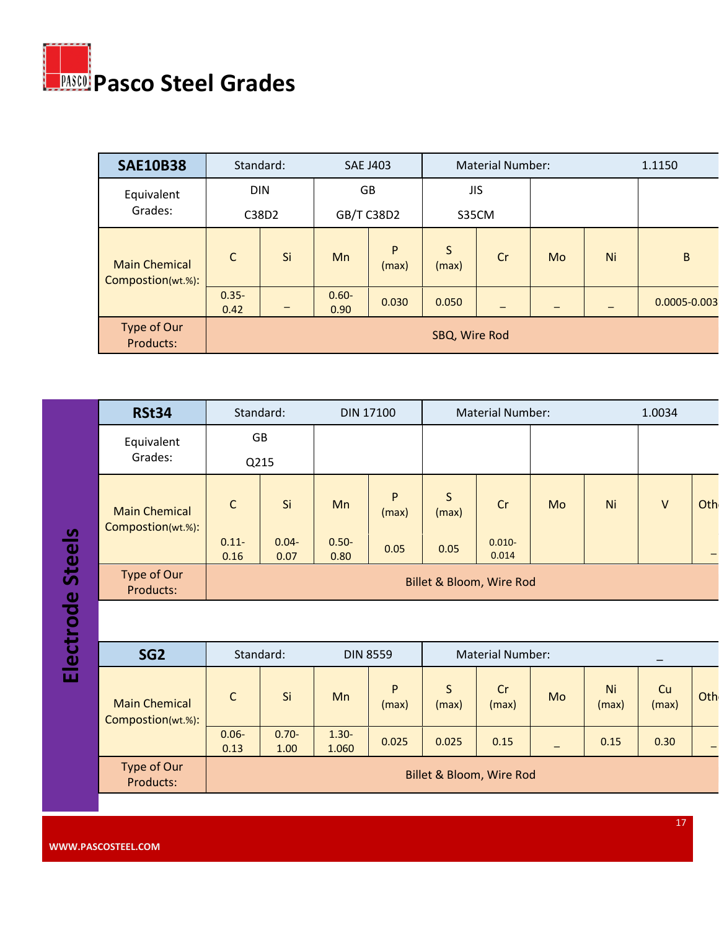

| <b>SAE10B38</b>                           |                  | Standard:           | <b>SAE J403</b>  |            |                       | <b>Material Number:</b> |    |    | 1.1150       |
|-------------------------------------------|------------------|---------------------|------------------|------------|-----------------------|-------------------------|----|----|--------------|
| Equivalent<br>Grades:                     |                  | <b>DIN</b><br>C38D2 | GB<br>GB/T C38D2 |            | <b>JIS</b><br>S35CM   |                         |    |    |              |
| <b>Main Chemical</b><br>Compostion(wt.%): | $\mathsf{C}$     | Si                  | Mn               | P<br>(max) | $\mathsf{S}$<br>(max) | Cr                      | Mo | Ni | B            |
|                                           | $0.35 -$<br>0.42 |                     | $0.60 -$<br>0.90 | 0.030      | 0.050                 |                         |    |    | 0.0005-0.003 |
| Type of Our<br>Products:                  |                  |                     |                  |            | SBQ, Wire Rod         |                         |    |    |              |

|                  | <b>RSt34</b>                              |                          | Standard:                | <b>Material Number:</b><br><b>DIN 17100</b> |                 |                       |                         |    |             | 1.0034      |     |  |
|------------------|-------------------------------------------|--------------------------|--------------------------|---------------------------------------------|-----------------|-----------------------|-------------------------|----|-------------|-------------|-----|--|
|                  | Equivalent<br>Grades:                     |                          | GB<br>Q215               |                                             |                 |                       |                         |    |             |             |     |  |
|                  | <b>Main Chemical</b><br>Compostion(wt.%): | $\mathsf C$              | Si                       | Mn                                          | P<br>(max)      | $\mathsf{S}$<br>(max) | Cr                      | Mo | Ni          | $\vee$      | Oth |  |
|                  |                                           | $0.11 -$<br>0.16         | $0.04 -$<br>0.07         | $0.50 -$<br>0.80                            | 0.05            | 0.05                  | $0.010 -$<br>0.014      |    |             |             |     |  |
|                  | Type of Our<br>Products:                  |                          | Billet & Bloom, Wire Rod |                                             |                 |                       |                         |    |             |             |     |  |
| Electrode Steels |                                           |                          |                          |                                             |                 |                       |                         |    |             |             |     |  |
|                  | SG <sub>2</sub>                           |                          | Standard:                |                                             | <b>DIN 8559</b> |                       | <b>Material Number:</b> |    |             |             |     |  |
|                  | <b>Main Chemical</b><br>Compostion(wt.%): | $\mathsf C$              | Si                       | Mn                                          | P<br>(max)      | $\mathsf{S}$<br>(max) | Cr<br>(max)             | Mo | Ni<br>(max) | Cu<br>(max) | Oth |  |
|                  |                                           | $0.06 -$<br>0.13         | $0.70 -$<br>1.00         | $1.30 -$<br>1.060                           | 0.025           | 0.025                 | 0.15                    |    | 0.15        | 0.30        | -   |  |
|                  | Type of Our<br>Products:                  | Billet & Bloom, Wire Rod |                          |                                             |                 |                       |                         |    |             |             |     |  |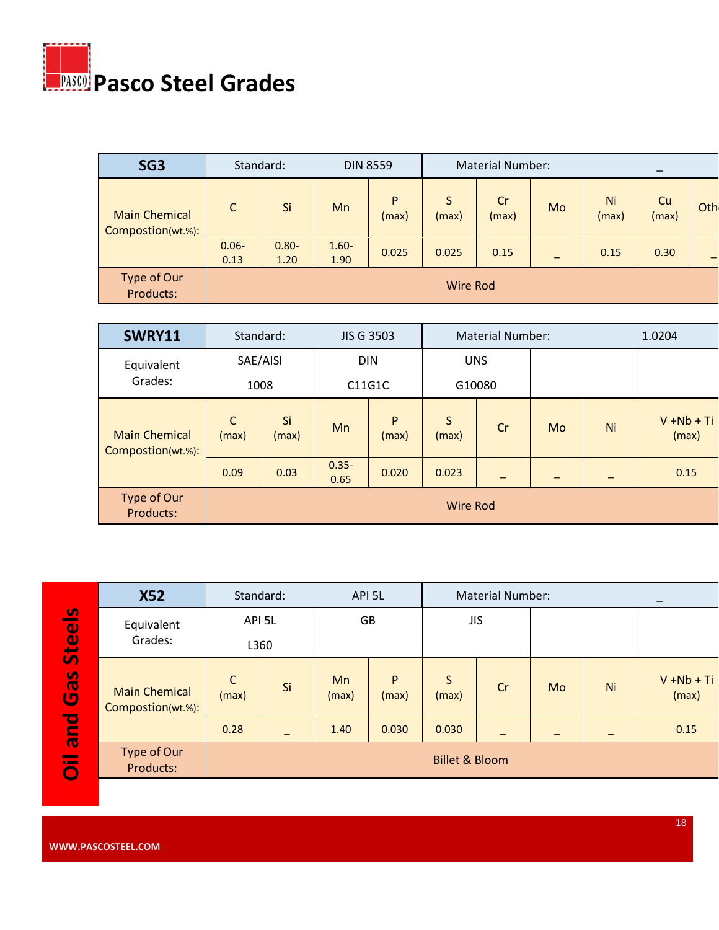

| SG <sub>3</sub>                           |                  | Standard:        |                  | <b>DIN 8559</b> |                 | <b>Material Number:</b> | $\overline{\phantom{m}}$ |             |             |     |
|-------------------------------------------|------------------|------------------|------------------|-----------------|-----------------|-------------------------|--------------------------|-------------|-------------|-----|
| <b>Main Chemical</b><br>Compostion(wt.%): | C                | Si               | Mn               | P<br>(max)      | S<br>(max)      | Cr<br>(max)             | Mo                       | Ni<br>(max) | Cu<br>(max) | Oth |
|                                           | $0.06 -$<br>0.13 | $0.80 -$<br>1.20 | $1.60 -$<br>1.90 | 0.025           | 0.025           | 0.15                    | $\equiv$                 | 0.15        | 0.30        |     |
| Type of Our<br>Products:                  |                  |                  |                  |                 | <b>Wire Rod</b> |                         |                          |             |             |     |

| SWRY11                                    | Standard:             |             | <b>JIS G 3503</b> |            |            | <b>Material Number:</b> |    | 1.0204 |                        |  |
|-------------------------------------------|-----------------------|-------------|-------------------|------------|------------|-------------------------|----|--------|------------------------|--|
| Equivalent<br>Grades:                     | SAE/AISI              |             | <b>DIN</b>        |            | <b>UNS</b> |                         |    |        |                        |  |
|                                           | 1008                  |             | C11G1C            |            | G10080     |                         |    |        |                        |  |
| <b>Main Chemical</b><br>Compostion(wt.%): | $\mathsf{C}$<br>(max) | Si<br>(max) | Mn                | P<br>(max) | S<br>(max) | Cr                      | Mo | Ni     | $V + Nb + Ti$<br>(max) |  |
|                                           | 0.09                  | 0.03        | $0.35 -$<br>0.65  | 0.020      | 0.023      |                         |    |        | 0.15                   |  |
| Type of Our<br>Products:                  | <b>Wire Rod</b>       |             |                   |            |            |                         |    |        |                        |  |

|                                   | <b>X52</b><br>Standard:                   |            |      | API 5L             | <b>Material Number:</b> |                           |    |    |    |                        |
|-----------------------------------|-------------------------------------------|------------|------|--------------------|-------------------------|---------------------------|----|----|----|------------------------|
|                                   | Equivalent                                | API 5L     |      | GB                 |                         | <b>JIS</b>                |    |    |    |                        |
| <b>Steels</b>                     | Grades:                                   |            | L360 |                    |                         |                           |    |    | Ni |                        |
| <b>SCD</b>                        | <b>Main Chemical</b><br>Compostion(wt.%): | C<br>(max) | Si   | <b>Mn</b><br>(max) | P<br>(max)              | $\mathsf{S}$<br>(max)     | Cr | Mo |    | $V + Nb + Ti$<br>(max) |
| and                               |                                           | 0.28       |      | 1.40               | 0.030                   | 0.030                     |    |    |    | 0.15                   |
| $\sim$<br>$\bullet$ and $\bullet$ | Type of Our<br>Products:                  |            |      |                    |                         | <b>Billet &amp; Bloom</b> |    |    |    |                        |
|                                   |                                           |            |      |                    |                         |                           |    |    |    |                        |